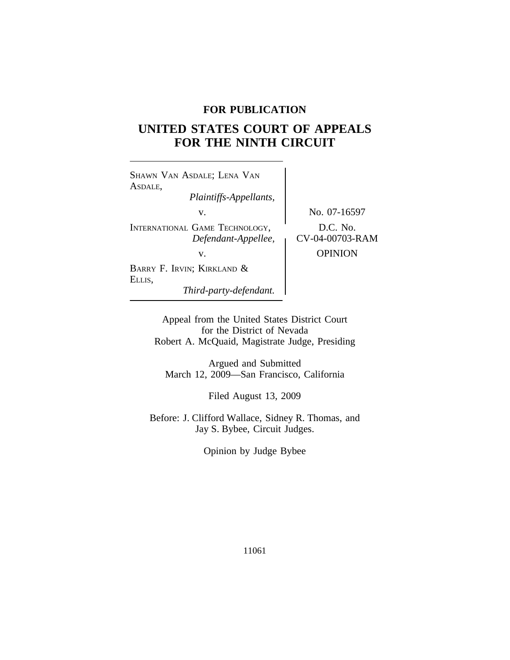# **FOR PUBLICATION**

# **UNITED STATES COURT OF APPEALS FOR THE NINTH CIRCUIT**

<sup>S</sup>HAWN VAN ASDALE; LENA VAN ASDALE, *Plaintiffs-Appellants,* v. No. 07-16597 INTERNATIONAL GAME TECHNOLOGY, D.C. No.<br> *Defendant-Appellee,* CV-04-00703-RAM v. **DESPITE OPINION** BARRY F. IRVIN; KIRKLAND & ELLIS, *Third-party-defendant.*

Appeal from the United States District Court for the District of Nevada Robert A. McQuaid, Magistrate Judge, Presiding

Argued and Submitted March 12, 2009—San Francisco, California

Filed August 13, 2009

Before: J. Clifford Wallace, Sidney R. Thomas, and Jay S. Bybee, Circuit Judges.

Opinion by Judge Bybee

11061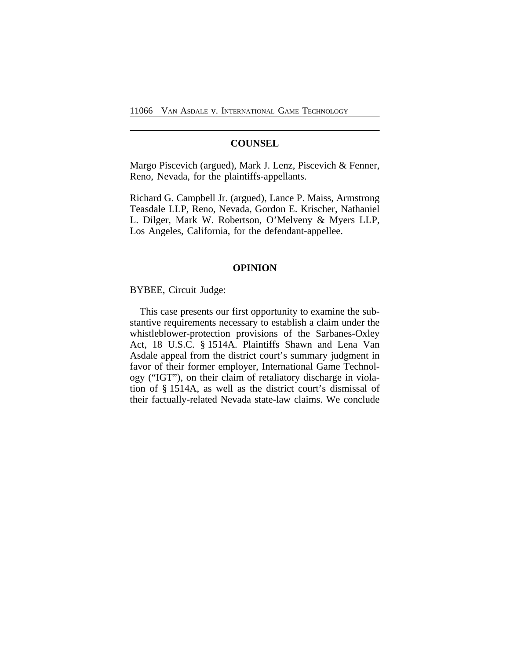## **COUNSEL**

Margo Piscevich (argued), Mark J. Lenz, Piscevich & Fenner, Reno, Nevada, for the plaintiffs-appellants.

Richard G. Campbell Jr. (argued), Lance P. Maiss, Armstrong Teasdale LLP, Reno, Nevada, Gordon E. Krischer, Nathaniel L. Dilger, Mark W. Robertson, O'Melveny & Myers LLP, Los Angeles, California, for the defendant-appellee.

## **OPINION**

BYBEE, Circuit Judge:

This case presents our first opportunity to examine the substantive requirements necessary to establish a claim under the whistleblower-protection provisions of the Sarbanes-Oxley Act, 18 U.S.C. § 1514A. Plaintiffs Shawn and Lena Van Asdale appeal from the district court's summary judgment in favor of their former employer, International Game Technology ("IGT"), on their claim of retaliatory discharge in violation of § 1514A, as well as the district court's dismissal of their factually-related Nevada state-law claims. We conclude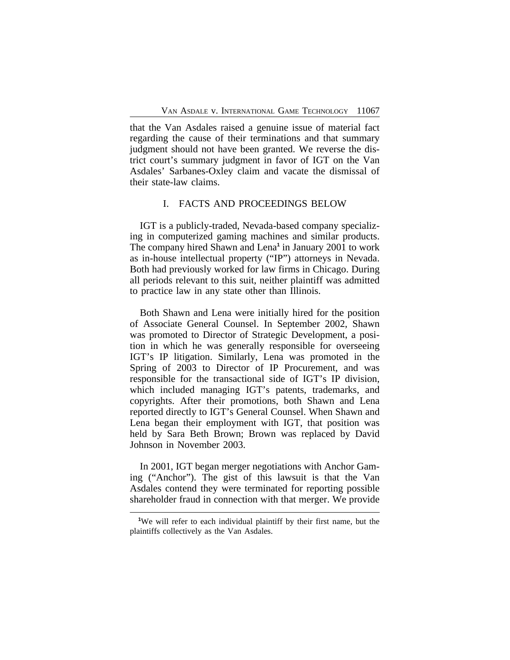that the Van Asdales raised a genuine issue of material fact regarding the cause of their terminations and that summary judgment should not have been granted. We reverse the district court's summary judgment in favor of IGT on the Van Asdales' Sarbanes-Oxley claim and vacate the dismissal of their state-law claims.

## I. FACTS AND PROCEEDINGS BELOW

IGT is a publicly-traded, Nevada-based company specializing in computerized gaming machines and similar products. The company hired Shawn and Lena**<sup>1</sup>** in January 2001 to work as in-house intellectual property ("IP") attorneys in Nevada. Both had previously worked for law firms in Chicago. During all periods relevant to this suit, neither plaintiff was admitted to practice law in any state other than Illinois.

Both Shawn and Lena were initially hired for the position of Associate General Counsel. In September 2002, Shawn was promoted to Director of Strategic Development, a position in which he was generally responsible for overseeing IGT's IP litigation. Similarly, Lena was promoted in the Spring of 2003 to Director of IP Procurement, and was responsible for the transactional side of IGT's IP division, which included managing IGT's patents, trademarks, and copyrights. After their promotions, both Shawn and Lena reported directly to IGT's General Counsel. When Shawn and Lena began their employment with IGT, that position was held by Sara Beth Brown; Brown was replaced by David Johnson in November 2003.

In 2001, IGT began merger negotiations with Anchor Gaming ("Anchor"). The gist of this lawsuit is that the Van Asdales contend they were terminated for reporting possible shareholder fraud in connection with that merger. We provide

**<sup>1</sup>**We will refer to each individual plaintiff by their first name, but the plaintiffs collectively as the Van Asdales.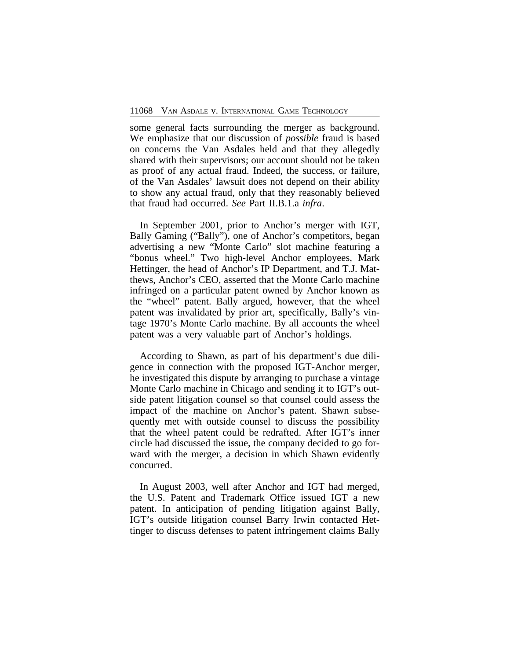some general facts surrounding the merger as background. We emphasize that our discussion of *possible* fraud is based on concerns the Van Asdales held and that they allegedly shared with their supervisors; our account should not be taken as proof of any actual fraud. Indeed, the success, or failure, of the Van Asdales' lawsuit does not depend on their ability to show any actual fraud, only that they reasonably believed that fraud had occurred. *See* Part II.B.1.a *infra*.

In September 2001, prior to Anchor's merger with IGT, Bally Gaming ("Bally"), one of Anchor's competitors, began advertising a new "Monte Carlo" slot machine featuring a "bonus wheel." Two high-level Anchor employees, Mark Hettinger, the head of Anchor's IP Department, and T.J. Matthews, Anchor's CEO, asserted that the Monte Carlo machine infringed on a particular patent owned by Anchor known as the "wheel" patent. Bally argued, however, that the wheel patent was invalidated by prior art, specifically, Bally's vintage 1970's Monte Carlo machine. By all accounts the wheel patent was a very valuable part of Anchor's holdings.

According to Shawn, as part of his department's due diligence in connection with the proposed IGT-Anchor merger, he investigated this dispute by arranging to purchase a vintage Monte Carlo machine in Chicago and sending it to IGT's outside patent litigation counsel so that counsel could assess the impact of the machine on Anchor's patent. Shawn subsequently met with outside counsel to discuss the possibility that the wheel patent could be redrafted. After IGT's inner circle had discussed the issue, the company decided to go forward with the merger, a decision in which Shawn evidently concurred.

In August 2003, well after Anchor and IGT had merged, the U.S. Patent and Trademark Office issued IGT a new patent. In anticipation of pending litigation against Bally, IGT's outside litigation counsel Barry Irwin contacted Hettinger to discuss defenses to patent infringement claims Bally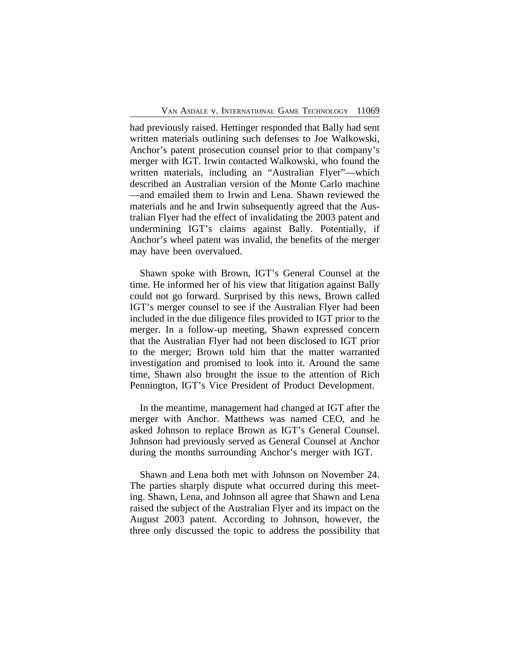had previously raised. Hettinger responded that Bally had sent written materials outlining such defenses to Joe Walkowski, Anchor's patent prosecution counsel prior to that company's merger with IGT. Irwin contacted Walkowski, who found the written materials, including an "Australian Flyer"—which described an Australian version of the Monte Carlo machine —and emailed them to Irwin and Lena. Shawn reviewed the materials and he and Irwin subsequently agreed that the Australian Flyer had the effect of invalidating the 2003 patent and undermining IGT's claims against Bally. Potentially, if Anchor's wheel patent was invalid, the benefits of the merger may have been overvalued.

Shawn spoke with Brown, IGT's General Counsel at the time. He informed her of his view that litigation against Bally could not go forward. Surprised by this news, Brown called IGT's merger counsel to see if the Australian Flyer had been included in the due diligence files provided to IGT prior to the merger. In a follow-up meeting, Shawn expressed concern that the Australian Flyer had not been disclosed to IGT prior to the merger; Brown told him that the matter warranted investigation and promised to look into it. Around the same time, Shawn also brought the issue to the attention of Rich Pennington, IGT's Vice President of Product Development.

In the meantime, management had changed at IGT after the merger with Anchor. Matthews was named CEO, and he asked Johnson to replace Brown as IGT's General Counsel. Johnson had previously served as General Counsel at Anchor during the months surrounding Anchor's merger with IGT.

Shawn and Lena both met with Johnson on November 24. The parties sharply dispute what occurred during this meeting. Shawn, Lena, and Johnson all agree that Shawn and Lena raised the subject of the Australian Flyer and its impact on the August 2003 patent. According to Johnson, however, the three only discussed the topic to address the possibility that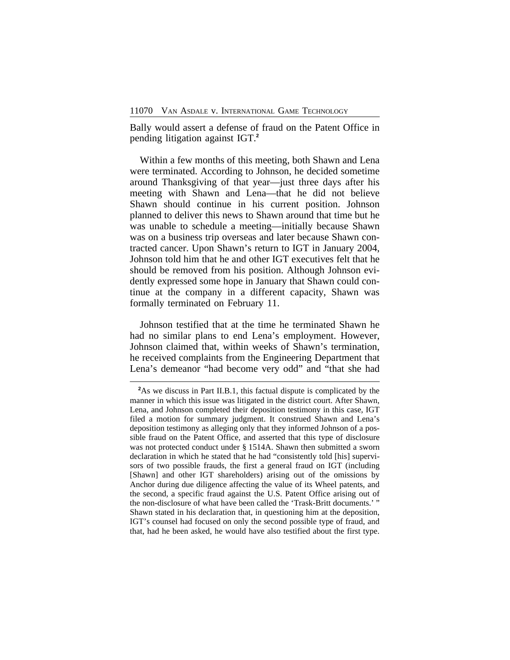Bally would assert a defense of fraud on the Patent Office in pending litigation against IGT.**<sup>2</sup>**

Within a few months of this meeting, both Shawn and Lena were terminated. According to Johnson, he decided sometime around Thanksgiving of that year—just three days after his meeting with Shawn and Lena—that he did not believe Shawn should continue in his current position. Johnson planned to deliver this news to Shawn around that time but he was unable to schedule a meeting—initially because Shawn was on a business trip overseas and later because Shawn contracted cancer. Upon Shawn's return to IGT in January 2004, Johnson told him that he and other IGT executives felt that he should be removed from his position. Although Johnson evidently expressed some hope in January that Shawn could continue at the company in a different capacity, Shawn was formally terminated on February 11.

Johnson testified that at the time he terminated Shawn he had no similar plans to end Lena's employment. However, Johnson claimed that, within weeks of Shawn's termination, he received complaints from the Engineering Department that Lena's demeanor "had become very odd" and "that she had

<sup>&</sup>lt;sup>2</sup>As we discuss in Part II.B.1, this factual dispute is complicated by the manner in which this issue was litigated in the district court. After Shawn, Lena, and Johnson completed their deposition testimony in this case, IGT filed a motion for summary judgment. It construed Shawn and Lena's deposition testimony as alleging only that they informed Johnson of a possible fraud on the Patent Office, and asserted that this type of disclosure was not protected conduct under § 1514A. Shawn then submitted a sworn declaration in which he stated that he had "consistently told [his] supervisors of two possible frauds, the first a general fraud on IGT (including [Shawn] and other IGT shareholders) arising out of the omissions by Anchor during due diligence affecting the value of its Wheel patents, and the second, a specific fraud against the U.S. Patent Office arising out of the non-disclosure of what have been called the 'Trask-Britt documents.' " Shawn stated in his declaration that, in questioning him at the deposition, IGT's counsel had focused on only the second possible type of fraud, and that, had he been asked, he would have also testified about the first type.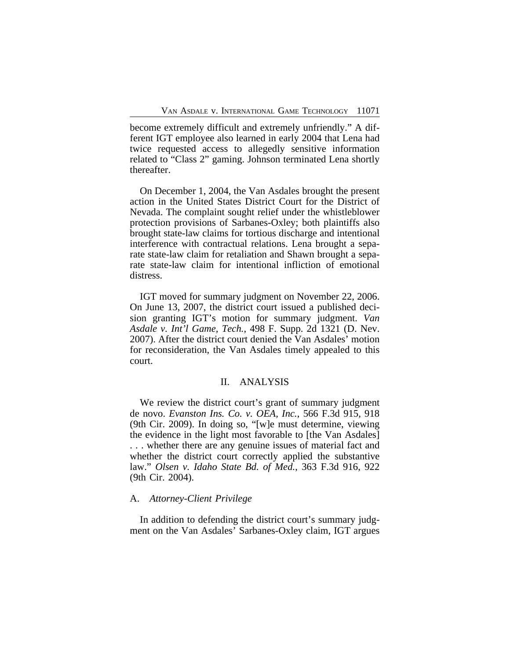become extremely difficult and extremely unfriendly." A different IGT employee also learned in early 2004 that Lena had twice requested access to allegedly sensitive information related to "Class 2" gaming. Johnson terminated Lena shortly thereafter.

On December 1, 2004, the Van Asdales brought the present action in the United States District Court for the District of Nevada. The complaint sought relief under the whistleblower protection provisions of Sarbanes-Oxley; both plaintiffs also brought state-law claims for tortious discharge and intentional interference with contractual relations. Lena brought a separate state-law claim for retaliation and Shawn brought a separate state-law claim for intentional infliction of emotional distress.

IGT moved for summary judgment on November 22, 2006. On June 13, 2007, the district court issued a published decision granting IGT's motion for summary judgment. *Van Asdale v. Int'l Game, Tech.*, 498 F. Supp. 2d 1321 (D. Nev. 2007). After the district court denied the Van Asdales' motion for reconsideration, the Van Asdales timely appealed to this court.

## II. ANALYSIS

We review the district court's grant of summary judgment de novo. *Evanston Ins. Co. v. OEA, Inc.*, 566 F.3d 915, 918 (9th Cir. 2009). In doing so, "[w]e must determine, viewing the evidence in the light most favorable to [the Van Asdales] . . . whether there are any genuine issues of material fact and whether the district court correctly applied the substantive law." *Olsen v. Idaho State Bd. of Med.*, 363 F.3d 916, 922 (9th Cir. 2004).

#### A. *Attorney-Client Privilege*

In addition to defending the district court's summary judgment on the Van Asdales' Sarbanes-Oxley claim, IGT argues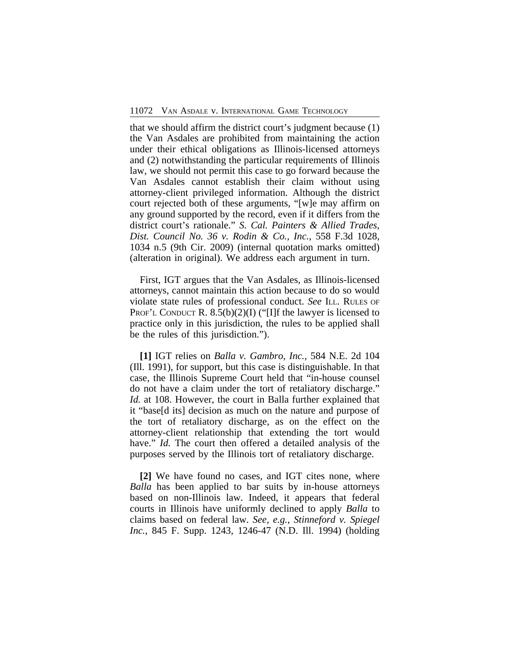that we should affirm the district court's judgment because (1) the Van Asdales are prohibited from maintaining the action under their ethical obligations as Illinois-licensed attorneys and (2) notwithstanding the particular requirements of Illinois law, we should not permit this case to go forward because the Van Asdales cannot establish their claim without using attorney-client privileged information. Although the district court rejected both of these arguments, "[w]e may affirm on any ground supported by the record, even if it differs from the district court's rationale." *S. Cal. Painters & Allied Trades, Dist. Council No. 36 v. Rodin & Co., Inc.*, 558 F.3d 1028, 1034 n.5 (9th Cir. 2009) (internal quotation marks omitted) (alteration in original). We address each argument in turn.

First, IGT argues that the Van Asdales, as Illinois-licensed attorneys, cannot maintain this action because to do so would violate state rules of professional conduct. *See* ILL. RULES OF PROF'L CONDUCT R.  $8.5(b)(2)(I)$  ("[I]f the lawyer is licensed to practice only in this jurisdiction, the rules to be applied shall be the rules of this jurisdiction.").

**[1]** IGT relies on *Balla v. Gambro, Inc.*, 584 N.E. 2d 104 (Ill. 1991), for support, but this case is distinguishable. In that case, the Illinois Supreme Court held that "in-house counsel do not have a claim under the tort of retaliatory discharge." *Id.* at 108. However, the court in Balla further explained that it "base[d its] decision as much on the nature and purpose of the tort of retaliatory discharge, as on the effect on the attorney-client relationship that extending the tort would have." *Id.* The court then offered a detailed analysis of the purposes served by the Illinois tort of retaliatory discharge.

**[2]** We have found no cases, and IGT cites none, where *Balla* has been applied to bar suits by in-house attorneys based on non-Illinois law. Indeed, it appears that federal courts in Illinois have uniformly declined to apply *Balla* to claims based on federal law. *See, e.g.*, *Stinneford v. Spiegel Inc.*, 845 F. Supp. 1243, 1246-47 (N.D. Ill. 1994) (holding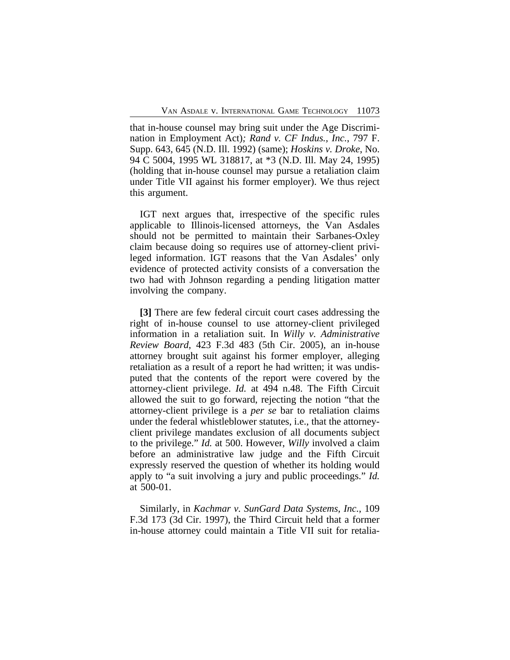that in-house counsel may bring suit under the Age Discrimination in Employment Act)*; Rand v. CF Indus., Inc.*, 797 F. Supp. 643, 645 (N.D. Ill. 1992) (same); *Hoskins v. Droke*, No. 94 C 5004, 1995 WL 318817, at \*3 (N.D. Ill. May 24, 1995) (holding that in-house counsel may pursue a retaliation claim under Title VII against his former employer). We thus reject this argument.

IGT next argues that, irrespective of the specific rules applicable to Illinois-licensed attorneys, the Van Asdales should not be permitted to maintain their Sarbanes-Oxley claim because doing so requires use of attorney-client privileged information. IGT reasons that the Van Asdales' only evidence of protected activity consists of a conversation the two had with Johnson regarding a pending litigation matter involving the company.

**[3]** There are few federal circuit court cases addressing the right of in-house counsel to use attorney-client privileged information in a retaliation suit. In *Willy v. Administrative Review Board*, 423 F.3d 483 (5th Cir. 2005), an in-house attorney brought suit against his former employer, alleging retaliation as a result of a report he had written; it was undisputed that the contents of the report were covered by the attorney-client privilege. *Id.* at 494 n.48. The Fifth Circuit allowed the suit to go forward, rejecting the notion "that the attorney-client privilege is a *per se* bar to retaliation claims under the federal whistleblower statutes, i.e., that the attorneyclient privilege mandates exclusion of all documents subject to the privilege." *Id.* at 500. However, *Willy* involved a claim before an administrative law judge and the Fifth Circuit expressly reserved the question of whether its holding would apply to "a suit involving a jury and public proceedings." *Id.* at 500-01.

Similarly, in *Kachmar v. SunGard Data Systems, Inc.*, 109 F.3d 173 (3d Cir. 1997), the Third Circuit held that a former in-house attorney could maintain a Title VII suit for retalia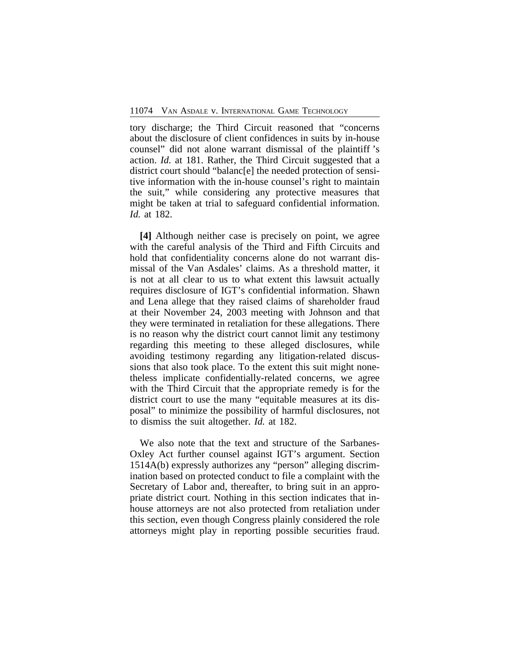tory discharge; the Third Circuit reasoned that "concerns about the disclosure of client confidences in suits by in-house counsel" did not alone warrant dismissal of the plaintiff 's action. *Id.* at 181. Rather, the Third Circuit suggested that a district court should "balanc[e] the needed protection of sensitive information with the in-house counsel's right to maintain the suit," while considering any protective measures that might be taken at trial to safeguard confidential information. *Id.* at 182.

**[4]** Although neither case is precisely on point, we agree with the careful analysis of the Third and Fifth Circuits and hold that confidentiality concerns alone do not warrant dismissal of the Van Asdales' claims. As a threshold matter, it is not at all clear to us to what extent this lawsuit actually requires disclosure of IGT's confidential information. Shawn and Lena allege that they raised claims of shareholder fraud at their November 24, 2003 meeting with Johnson and that they were terminated in retaliation for these allegations. There is no reason why the district court cannot limit any testimony regarding this meeting to these alleged disclosures, while avoiding testimony regarding any litigation-related discussions that also took place. To the extent this suit might nonetheless implicate confidentially-related concerns, we agree with the Third Circuit that the appropriate remedy is for the district court to use the many "equitable measures at its disposal" to minimize the possibility of harmful disclosures, not to dismiss the suit altogether. *Id.* at 182.

We also note that the text and structure of the Sarbanes-Oxley Act further counsel against IGT's argument. Section 1514A(b) expressly authorizes any "person" alleging discrimination based on protected conduct to file a complaint with the Secretary of Labor and, thereafter, to bring suit in an appropriate district court. Nothing in this section indicates that inhouse attorneys are not also protected from retaliation under this section, even though Congress plainly considered the role attorneys might play in reporting possible securities fraud.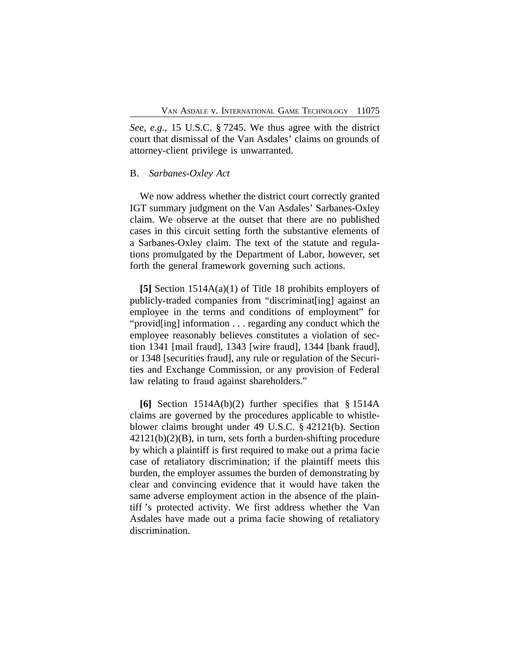*See, e.g.*, 15 U.S.C. § 7245. We thus agree with the district court that dismissal of the Van Asdales' claims on grounds of attorney-client privilege is unwarranted.

#### B. *Sarbanes-Oxley Act*

We now address whether the district court correctly granted IGT summary judgment on the Van Asdales' Sarbanes-Oxley claim. We observe at the outset that there are no published cases in this circuit setting forth the substantive elements of a Sarbanes-Oxley claim. The text of the statute and regulations promulgated by the Department of Labor, however, set forth the general framework governing such actions.

**[5]** Section 1514A(a)(1) of Title 18 prohibits employers of publicly-traded companies from "discriminat[ing] against an employee in the terms and conditions of employment" for "provid[ing] information . . . regarding any conduct which the employee reasonably believes constitutes a violation of section 1341 [mail fraud], 1343 [wire fraud], 1344 [bank fraud], or 1348 [securities fraud], any rule or regulation of the Securities and Exchange Commission, or any provision of Federal law relating to fraud against shareholders."

**[6]** Section 1514A(b)(2) further specifies that § 1514A claims are governed by the procedures applicable to whistleblower claims brought under 49 U.S.C. § 42121(b). Section 42121(b)(2)(B), in turn, sets forth a burden-shifting procedure by which a plaintiff is first required to make out a prima facie case of retaliatory discrimination; if the plaintiff meets this burden, the employer assumes the burden of demonstrating by clear and convincing evidence that it would have taken the same adverse employment action in the absence of the plaintiff 's protected activity. We first address whether the Van Asdales have made out a prima facie showing of retaliatory discrimination.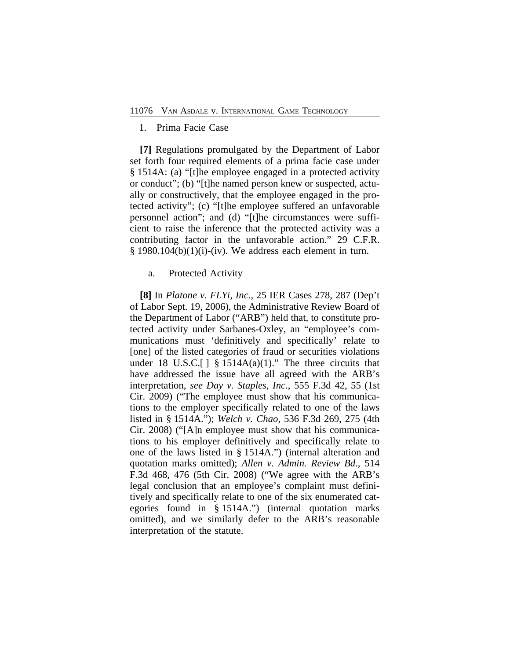#### 1. Prima Facie Case

**[7]** Regulations promulgated by the Department of Labor set forth four required elements of a prima facie case under § 1514A: (a) "[t]he employee engaged in a protected activity or conduct"; (b) "[t]he named person knew or suspected, actually or constructively, that the employee engaged in the protected activity"; (c) "[t]he employee suffered an unfavorable personnel action"; and (d) "[t]he circumstances were sufficient to raise the inference that the protected activity was a contributing factor in the unfavorable action." 29 C.F.R.  $§$  1980.104(b)(1)(i)-(iv). We address each element in turn.

#### a. Protected Activity

**[8]** In *Platone v. FLYi, Inc.*, 25 IER Cases 278, 287 (Dep't of Labor Sept. 19, 2006), the Administrative Review Board of the Department of Labor ("ARB") held that, to constitute protected activity under Sarbanes-Oxley, an "employee's communications must 'definitively and specifically' relate to [one] of the listed categories of fraud or securities violations under 18 U.S.C. $[ \ ]$  § 1514A(a)(1)." The three circuits that have addressed the issue have all agreed with the ARB's interpretation, *see Day v. Staples, Inc.*, 555 F.3d 42, 55 (1st Cir. 2009) ("The employee must show that his communications to the employer specifically related to one of the laws listed in § 1514A."); *Welch v. Chao*, 536 F.3d 269, 275 (4th Cir. 2008) ("[A]n employee must show that his communications to his employer definitively and specifically relate to one of the laws listed in § 1514A.") (internal alteration and quotation marks omitted); *Allen v. Admin. Review Bd.*, 514 F.3d 468, 476 (5th Cir. 2008) ("We agree with the ARB's legal conclusion that an employee's complaint must definitively and specifically relate to one of the six enumerated categories found in § 1514A.") (internal quotation marks omitted), and we similarly defer to the ARB's reasonable interpretation of the statute.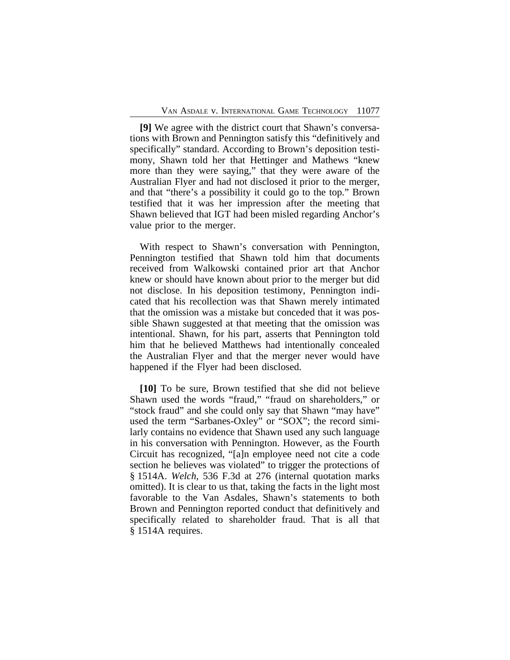**[9]** We agree with the district court that Shawn's conversations with Brown and Pennington satisfy this "definitively and specifically" standard. According to Brown's deposition testimony, Shawn told her that Hettinger and Mathews "knew more than they were saying," that they were aware of the Australian Flyer and had not disclosed it prior to the merger, and that "there's a possibility it could go to the top." Brown testified that it was her impression after the meeting that Shawn believed that IGT had been misled regarding Anchor's value prior to the merger.

With respect to Shawn's conversation with Pennington, Pennington testified that Shawn told him that documents received from Walkowski contained prior art that Anchor knew or should have known about prior to the merger but did not disclose. In his deposition testimony, Pennington indicated that his recollection was that Shawn merely intimated that the omission was a mistake but conceded that it was possible Shawn suggested at that meeting that the omission was intentional. Shawn, for his part, asserts that Pennington told him that he believed Matthews had intentionally concealed the Australian Flyer and that the merger never would have happened if the Flyer had been disclosed.

**[10]** To be sure, Brown testified that she did not believe Shawn used the words "fraud," "fraud on shareholders," or "stock fraud" and she could only say that Shawn "may have" used the term "Sarbanes-Oxley" or "SOX"; the record similarly contains no evidence that Shawn used any such language in his conversation with Pennington. However, as the Fourth Circuit has recognized, "[a]n employee need not cite a code section he believes was violated" to trigger the protections of § 1514A. *Welch*, 536 F.3d at 276 (internal quotation marks omitted). It is clear to us that, taking the facts in the light most favorable to the Van Asdales, Shawn's statements to both Brown and Pennington reported conduct that definitively and specifically related to shareholder fraud. That is all that § 1514A requires.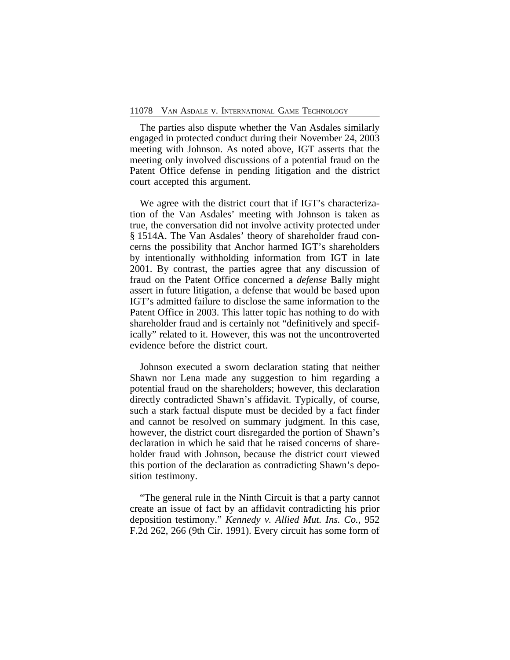The parties also dispute whether the Van Asdales similarly engaged in protected conduct during their November 24, 2003 meeting with Johnson. As noted above, IGT asserts that the meeting only involved discussions of a potential fraud on the Patent Office defense in pending litigation and the district court accepted this argument.

We agree with the district court that if IGT's characterization of the Van Asdales' meeting with Johnson is taken as true, the conversation did not involve activity protected under § 1514A. The Van Asdales' theory of shareholder fraud concerns the possibility that Anchor harmed IGT's shareholders by intentionally withholding information from IGT in late 2001. By contrast, the parties agree that any discussion of fraud on the Patent Office concerned a *defense* Bally might assert in future litigation, a defense that would be based upon IGT's admitted failure to disclose the same information to the Patent Office in 2003. This latter topic has nothing to do with shareholder fraud and is certainly not "definitively and specifically" related to it. However, this was not the uncontroverted evidence before the district court.

Johnson executed a sworn declaration stating that neither Shawn nor Lena made any suggestion to him regarding a potential fraud on the shareholders; however, this declaration directly contradicted Shawn's affidavit. Typically, of course, such a stark factual dispute must be decided by a fact finder and cannot be resolved on summary judgment. In this case, however, the district court disregarded the portion of Shawn's declaration in which he said that he raised concerns of shareholder fraud with Johnson, because the district court viewed this portion of the declaration as contradicting Shawn's deposition testimony.

"The general rule in the Ninth Circuit is that a party cannot create an issue of fact by an affidavit contradicting his prior deposition testimony." *Kennedy v. Allied Mut. Ins. Co.*, 952 F.2d 262, 266 (9th Cir. 1991). Every circuit has some form of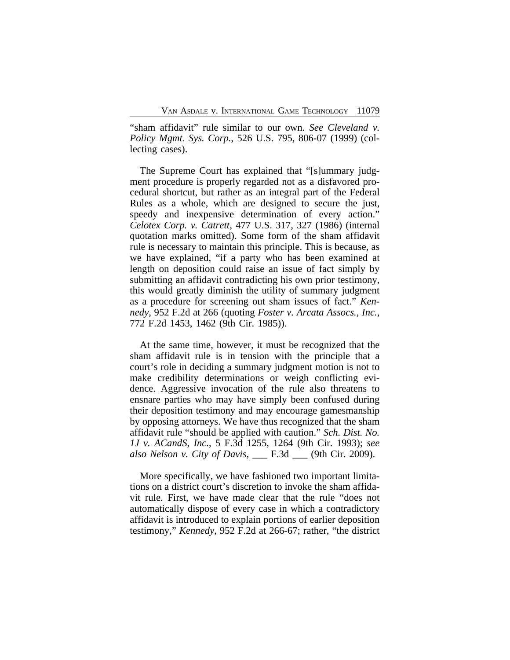"sham affidavit" rule similar to our own. *See Cleveland v. Policy Mgmt. Sys. Corp.*, 526 U.S. 795, 806-07 (1999) (collecting cases).

The Supreme Court has explained that "[s]ummary judgment procedure is properly regarded not as a disfavored procedural shortcut, but rather as an integral part of the Federal Rules as a whole, which are designed to secure the just, speedy and inexpensive determination of every action." *Celotex Corp. v. Catrett*, 477 U.S. 317, 327 (1986) (internal quotation marks omitted). Some form of the sham affidavit rule is necessary to maintain this principle. This is because, as we have explained, "if a party who has been examined at length on deposition could raise an issue of fact simply by submitting an affidavit contradicting his own prior testimony, this would greatly diminish the utility of summary judgment as a procedure for screening out sham issues of fact." *Kennedy*, 952 F.2d at 266 (quoting *Foster v. Arcata Assocs., Inc.*, 772 F.2d 1453, 1462 (9th Cir. 1985)).

At the same time, however, it must be recognized that the sham affidavit rule is in tension with the principle that a court's role in deciding a summary judgment motion is not to make credibility determinations or weigh conflicting evidence. Aggressive invocation of the rule also threatens to ensnare parties who may have simply been confused during their deposition testimony and may encourage gamesmanship by opposing attorneys. We have thus recognized that the sham affidavit rule "should be applied with caution." *Sch. Dist. No. 1J v. ACandS, Inc.*, 5 F.3d 1255, 1264 (9th Cir. 1993); *see also Nelson v. City of Davis*, \_\_\_ F.3d \_\_\_ (9th Cir. 2009).

More specifically, we have fashioned two important limitations on a district court's discretion to invoke the sham affidavit rule. First, we have made clear that the rule "does not automatically dispose of every case in which a contradictory affidavit is introduced to explain portions of earlier deposition testimony," *Kennedy*, 952 F.2d at 266-67; rather, "the district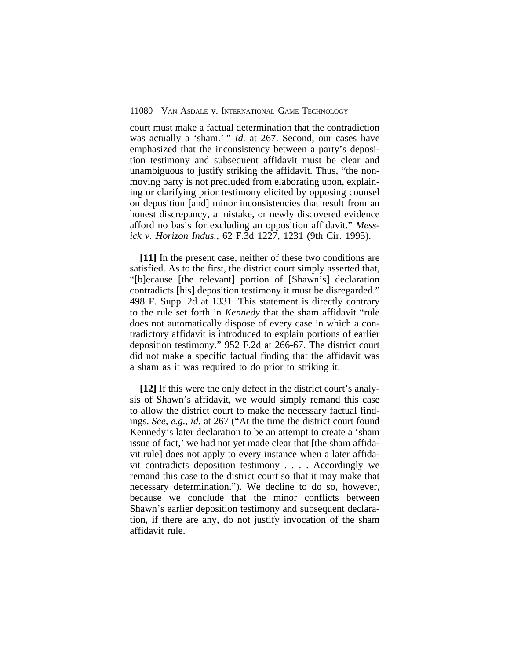court must make a factual determination that the contradiction was actually a 'sham.' " *Id.* at 267. Second, our cases have emphasized that the inconsistency between a party's deposition testimony and subsequent affidavit must be clear and unambiguous to justify striking the affidavit. Thus, "the nonmoving party is not precluded from elaborating upon, explaining or clarifying prior testimony elicited by opposing counsel on deposition [and] minor inconsistencies that result from an honest discrepancy, a mistake, or newly discovered evidence afford no basis for excluding an opposition affidavit." *Messick v. Horizon Indus.*, 62 F.3d 1227, 1231 (9th Cir. 1995).

**[11]** In the present case, neither of these two conditions are satisfied. As to the first, the district court simply asserted that, "[b]ecause [the relevant] portion of [Shawn's] declaration contradicts [his] deposition testimony it must be disregarded." 498 F. Supp. 2d at 1331. This statement is directly contrary to the rule set forth in *Kennedy* that the sham affidavit "rule does not automatically dispose of every case in which a contradictory affidavit is introduced to explain portions of earlier deposition testimony." 952 F.2d at 266-67. The district court did not make a specific factual finding that the affidavit was a sham as it was required to do prior to striking it.

**[12]** If this were the only defect in the district court's analysis of Shawn's affidavit, we would simply remand this case to allow the district court to make the necessary factual findings. *See, e.g.*, *id.* at 267 ("At the time the district court found Kennedy's later declaration to be an attempt to create a 'sham issue of fact,' we had not yet made clear that [the sham affidavit rule] does not apply to every instance when a later affidavit contradicts deposition testimony . . . . Accordingly we remand this case to the district court so that it may make that necessary determination."). We decline to do so, however, because we conclude that the minor conflicts between Shawn's earlier deposition testimony and subsequent declaration, if there are any, do not justify invocation of the sham affidavit rule.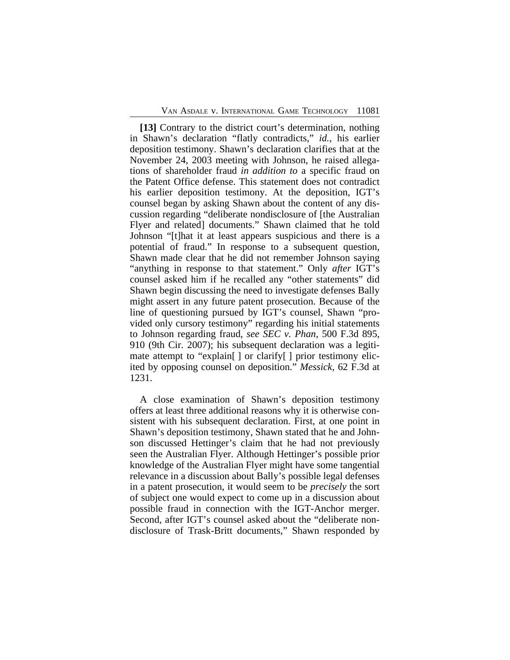**[13]** Contrary to the district court's determination, nothing in Shawn's declaration "flatly contradicts," *id.*, his earlier deposition testimony. Shawn's declaration clarifies that at the November 24, 2003 meeting with Johnson, he raised allegations of shareholder fraud *in addition to* a specific fraud on the Patent Office defense. This statement does not contradict his earlier deposition testimony. At the deposition, IGT's counsel began by asking Shawn about the content of any discussion regarding "deliberate nondisclosure of [the Australian Flyer and related] documents." Shawn claimed that he told Johnson "[t]hat it at least appears suspicious and there is a potential of fraud." In response to a subsequent question, Shawn made clear that he did not remember Johnson saying "anything in response to that statement." Only *after* IGT's counsel asked him if he recalled any "other statements" did Shawn begin discussing the need to investigate defenses Bally might assert in any future patent prosecution. Because of the line of questioning pursued by IGT's counsel, Shawn "provided only cursory testimony" regarding his initial statements to Johnson regarding fraud, *see SEC v. Phan*, 500 F.3d 895, 910 (9th Cir. 2007); his subsequent declaration was a legitimate attempt to "explain[ ] or clarify[ ] prior testimony elicited by opposing counsel on deposition." *Messick*, 62 F.3d at 1231.

A close examination of Shawn's deposition testimony offers at least three additional reasons why it is otherwise consistent with his subsequent declaration. First, at one point in Shawn's deposition testimony, Shawn stated that he and Johnson discussed Hettinger's claim that he had not previously seen the Australian Flyer. Although Hettinger's possible prior knowledge of the Australian Flyer might have some tangential relevance in a discussion about Bally's possible legal defenses in a patent prosecution, it would seem to be *precisely* the sort of subject one would expect to come up in a discussion about possible fraud in connection with the IGT-Anchor merger. Second, after IGT's counsel asked about the "deliberate nondisclosure of Trask-Britt documents," Shawn responded by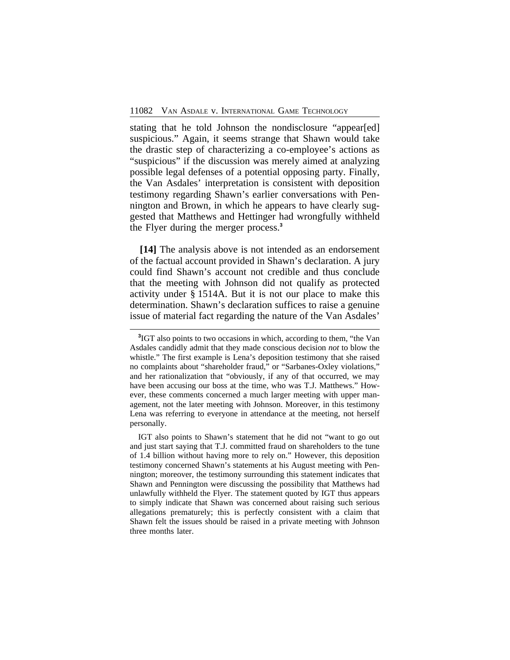stating that he told Johnson the nondisclosure "appear[ed] suspicious." Again, it seems strange that Shawn would take the drastic step of characterizing a co-employee's actions as "suspicious" if the discussion was merely aimed at analyzing possible legal defenses of a potential opposing party. Finally, the Van Asdales' interpretation is consistent with deposition testimony regarding Shawn's earlier conversations with Pennington and Brown, in which he appears to have clearly suggested that Matthews and Hettinger had wrongfully withheld the Flyer during the merger process.**<sup>3</sup>**

**[14]** The analysis above is not intended as an endorsement of the factual account provided in Shawn's declaration. A jury could find Shawn's account not credible and thus conclude that the meeting with Johnson did not qualify as protected activity under § 1514A. But it is not our place to make this determination. Shawn's declaration suffices to raise a genuine issue of material fact regarding the nature of the Van Asdales'

IGT also points to Shawn's statement that he did not "want to go out and just start saying that T.J. committed fraud on shareholders to the tune of 1.4 billion without having more to rely on." However, this deposition testimony concerned Shawn's statements at his August meeting with Pennington; moreover, the testimony surrounding this statement indicates that Shawn and Pennington were discussing the possibility that Matthews had unlawfully withheld the Flyer. The statement quoted by IGT thus appears to simply indicate that Shawn was concerned about raising such serious allegations prematurely; this is perfectly consistent with a claim that Shawn felt the issues should be raised in a private meeting with Johnson three months later.

**<sup>3</sup>** IGT also points to two occasions in which, according to them, "the Van Asdales candidly admit that they made conscious decision *not* to blow the whistle." The first example is Lena's deposition testimony that she raised no complaints about "shareholder fraud," or "Sarbanes-Oxley violations," and her rationalization that "obviously, if any of that occurred, we may have been accusing our boss at the time, who was T.J. Matthews." However, these comments concerned a much larger meeting with upper management, not the later meeting with Johnson. Moreover, in this testimony Lena was referring to everyone in attendance at the meeting, not herself personally.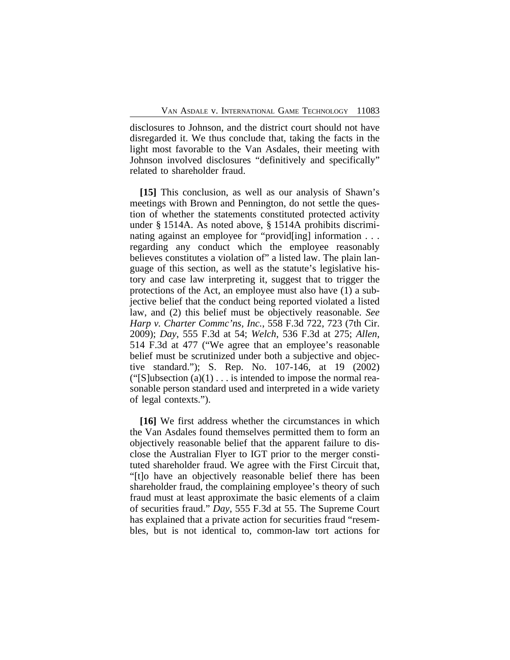disclosures to Johnson, and the district court should not have disregarded it. We thus conclude that, taking the facts in the light most favorable to the Van Asdales, their meeting with Johnson involved disclosures "definitively and specifically" related to shareholder fraud.

**[15]** This conclusion, as well as our analysis of Shawn's meetings with Brown and Pennington, do not settle the question of whether the statements constituted protected activity under § 1514A. As noted above, § 1514A prohibits discriminating against an employee for "provid[ing] information . . . regarding any conduct which the employee reasonably believes constitutes a violation of" a listed law. The plain language of this section, as well as the statute's legislative history and case law interpreting it, suggest that to trigger the protections of the Act, an employee must also have (1) a subjective belief that the conduct being reported violated a listed law, and (2) this belief must be objectively reasonable. *See Harp v. Charter Commc'ns, Inc.*, 558 F.3d 722, 723 (7th Cir. 2009); *Day*, 555 F.3d at 54; *Welch*, 536 F.3d at 275; *Allen*, 514 F.3d at 477 ("We agree that an employee's reasonable belief must be scrutinized under both a subjective and objective standard."); S. Rep. No. 107-146, at 19 (2002) ("[S]ubsection  $(a)(1) \ldots$  is intended to impose the normal reasonable person standard used and interpreted in a wide variety of legal contexts.").

**[16]** We first address whether the circumstances in which the Van Asdales found themselves permitted them to form an objectively reasonable belief that the apparent failure to disclose the Australian Flyer to IGT prior to the merger constituted shareholder fraud. We agree with the First Circuit that, "[t]o have an objectively reasonable belief there has been shareholder fraud, the complaining employee's theory of such fraud must at least approximate the basic elements of a claim of securities fraud." *Day*, 555 F.3d at 55. The Supreme Court has explained that a private action for securities fraud "resembles, but is not identical to, common-law tort actions for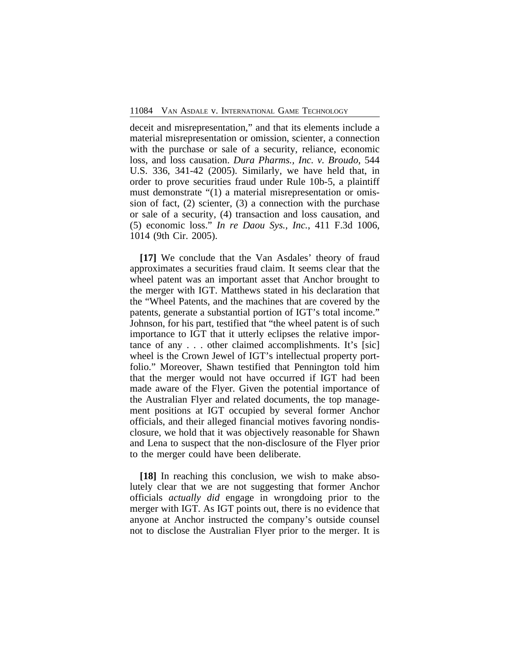deceit and misrepresentation," and that its elements include a material misrepresentation or omission, scienter, a connection with the purchase or sale of a security, reliance, economic loss, and loss causation. *Dura Pharms., Inc. v. Broudo*, 544 U.S. 336, 341-42 (2005). Similarly, we have held that, in order to prove securities fraud under Rule 10b-5, a plaintiff must demonstrate "(1) a material misrepresentation or omission of fact, (2) scienter, (3) a connection with the purchase or sale of a security, (4) transaction and loss causation, and (5) economic loss." *In re Daou Sys., Inc.*, 411 F.3d 1006, 1014 (9th Cir. 2005).

**[17]** We conclude that the Van Asdales' theory of fraud approximates a securities fraud claim. It seems clear that the wheel patent was an important asset that Anchor brought to the merger with IGT. Matthews stated in his declaration that the "Wheel Patents, and the machines that are covered by the patents, generate a substantial portion of IGT's total income." Johnson, for his part, testified that "the wheel patent is of such importance to IGT that it utterly eclipses the relative importance of any . . . other claimed accomplishments. It's [sic] wheel is the Crown Jewel of IGT's intellectual property portfolio." Moreover, Shawn testified that Pennington told him that the merger would not have occurred if IGT had been made aware of the Flyer. Given the potential importance of the Australian Flyer and related documents, the top management positions at IGT occupied by several former Anchor officials, and their alleged financial motives favoring nondisclosure, we hold that it was objectively reasonable for Shawn and Lena to suspect that the non-disclosure of the Flyer prior to the merger could have been deliberate.

**[18]** In reaching this conclusion, we wish to make absolutely clear that we are not suggesting that former Anchor officials *actually did* engage in wrongdoing prior to the merger with IGT. As IGT points out, there is no evidence that anyone at Anchor instructed the company's outside counsel not to disclose the Australian Flyer prior to the merger. It is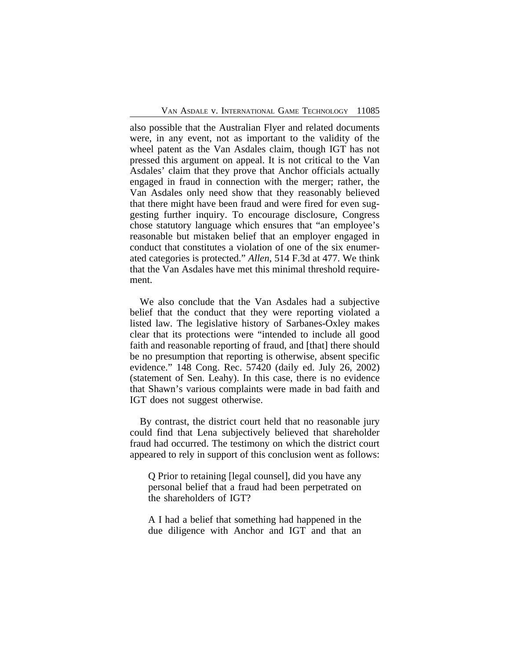also possible that the Australian Flyer and related documents were, in any event, not as important to the validity of the wheel patent as the Van Asdales claim, though IGT has not pressed this argument on appeal. It is not critical to the Van Asdales' claim that they prove that Anchor officials actually engaged in fraud in connection with the merger; rather, the Van Asdales only need show that they reasonably believed that there might have been fraud and were fired for even suggesting further inquiry. To encourage disclosure, Congress chose statutory language which ensures that "an employee's reasonable but mistaken belief that an employer engaged in conduct that constitutes a violation of one of the six enumerated categories is protected." *Allen*, 514 F.3d at 477. We think that the Van Asdales have met this minimal threshold requirement.

We also conclude that the Van Asdales had a subjective belief that the conduct that they were reporting violated a listed law. The legislative history of Sarbanes-Oxley makes clear that its protections were "intended to include all good faith and reasonable reporting of fraud, and [that] there should be no presumption that reporting is otherwise, absent specific evidence." 148 Cong. Rec. 57420 (daily ed. July 26, 2002) (statement of Sen. Leahy). In this case, there is no evidence that Shawn's various complaints were made in bad faith and IGT does not suggest otherwise.

By contrast, the district court held that no reasonable jury could find that Lena subjectively believed that shareholder fraud had occurred. The testimony on which the district court appeared to rely in support of this conclusion went as follows:

Q Prior to retaining [legal counsel], did you have any personal belief that a fraud had been perpetrated on the shareholders of IGT?

A I had a belief that something had happened in the due diligence with Anchor and IGT and that an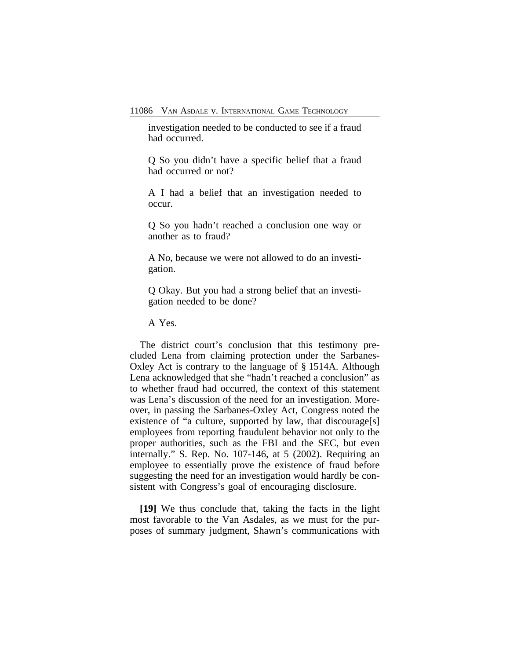investigation needed to be conducted to see if a fraud had occurred.

Q So you didn't have a specific belief that a fraud had occurred or not?

A I had a belief that an investigation needed to occur.

Q So you hadn't reached a conclusion one way or another as to fraud?

A No, because we were not allowed to do an investigation.

Q Okay. But you had a strong belief that an investigation needed to be done?

A Yes.

The district court's conclusion that this testimony precluded Lena from claiming protection under the Sarbanes-Oxley Act is contrary to the language of § 1514A. Although Lena acknowledged that she "hadn't reached a conclusion" as to whether fraud had occurred, the context of this statement was Lena's discussion of the need for an investigation. Moreover, in passing the Sarbanes-Oxley Act, Congress noted the existence of "a culture, supported by law, that discourage[s] employees from reporting fraudulent behavior not only to the proper authorities, such as the FBI and the SEC, but even internally." S. Rep. No. 107-146, at 5 (2002). Requiring an employee to essentially prove the existence of fraud before suggesting the need for an investigation would hardly be consistent with Congress's goal of encouraging disclosure.

**[19]** We thus conclude that, taking the facts in the light most favorable to the Van Asdales, as we must for the purposes of summary judgment, Shawn's communications with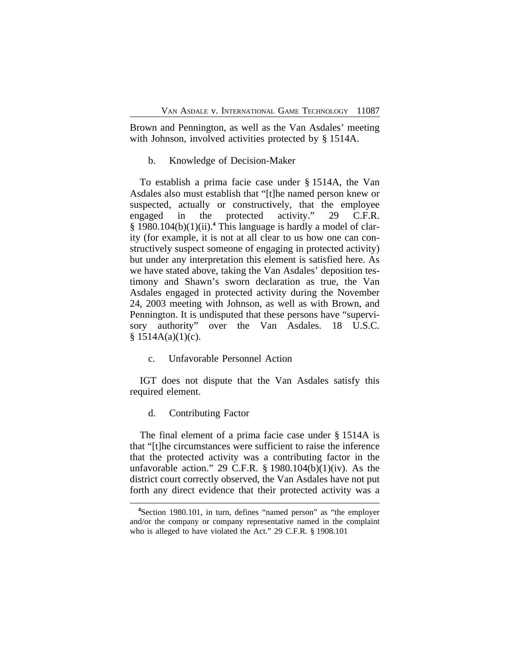Brown and Pennington, as well as the Van Asdales' meeting with Johnson, involved activities protected by § 1514A.

## b. Knowledge of Decision-Maker

To establish a prima facie case under § 1514A, the Van Asdales also must establish that "[t]he named person knew or suspected, actually or constructively, that the employee engaged in the protected activity." 29 C.F.R. § 1980.104(b)(1)(ii).**<sup>4</sup>** This language is hardly a model of clarity (for example, it is not at all clear to us how one can constructively suspect someone of engaging in protected activity) but under any interpretation this element is satisfied here. As we have stated above, taking the Van Asdales' deposition testimony and Shawn's sworn declaration as true, the Van Asdales engaged in protected activity during the November 24, 2003 meeting with Johnson, as well as with Brown, and Pennington. It is undisputed that these persons have "supervisory authority" over the Van Asdales. 18 U.S.C.  $§ 1514A(a)(1)(c).$ 

c. Unfavorable Personnel Action

IGT does not dispute that the Van Asdales satisfy this required element.

#### d. Contributing Factor

The final element of a prima facie case under § 1514A is that "[t]he circumstances were sufficient to raise the inference that the protected activity was a contributing factor in the unfavorable action." 29 C.F.R. § 1980.104(b)(1)(iv). As the district court correctly observed, the Van Asdales have not put forth any direct evidence that their protected activity was a

**<sup>4</sup>**Section 1980.101, in turn, defines "named person" as "the employer and/or the company or company representative named in the complaint who is alleged to have violated the Act." 29 C.F.R. § 1908.101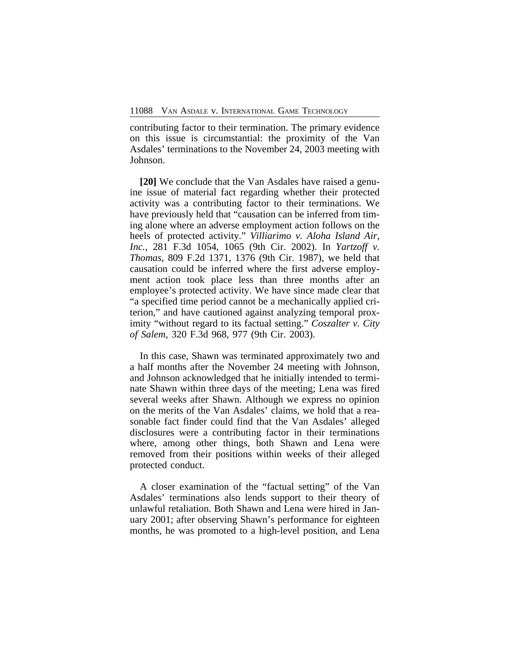contributing factor to their termination. The primary evidence on this issue is circumstantial: the proximity of the Van Asdales' terminations to the November 24, 2003 meeting with Johnson.

**[20]** We conclude that the Van Asdales have raised a genuine issue of material fact regarding whether their protected activity was a contributing factor to their terminations. We have previously held that "causation can be inferred from timing alone where an adverse employment action follows on the heels of protected activity." *Villiarimo v. Aloha Island Air, Inc.*, 281 F.3d 1054, 1065 (9th Cir. 2002). In *Yartzoff v. Thomas*, 809 F.2d 1371, 1376 (9th Cir. 1987), we held that causation could be inferred where the first adverse employment action took place less than three months after an employee's protected activity. We have since made clear that "a specified time period cannot be a mechanically applied criterion," and have cautioned against analyzing temporal proximity "without regard to its factual setting." *Coszalter v. City of Salem*, 320 F.3d 968, 977 (9th Cir. 2003).

In this case, Shawn was terminated approximately two and a half months after the November 24 meeting with Johnson, and Johnson acknowledged that he initially intended to terminate Shawn within three days of the meeting; Lena was fired several weeks after Shawn. Although we express no opinion on the merits of the Van Asdales' claims, we hold that a reasonable fact finder could find that the Van Asdales' alleged disclosures were a contributing factor in their terminations where, among other things, both Shawn and Lena were removed from their positions within weeks of their alleged protected conduct.

A closer examination of the "factual setting" of the Van Asdales' terminations also lends support to their theory of unlawful retaliation. Both Shawn and Lena were hired in January 2001; after observing Shawn's performance for eighteen months, he was promoted to a high-level position, and Lena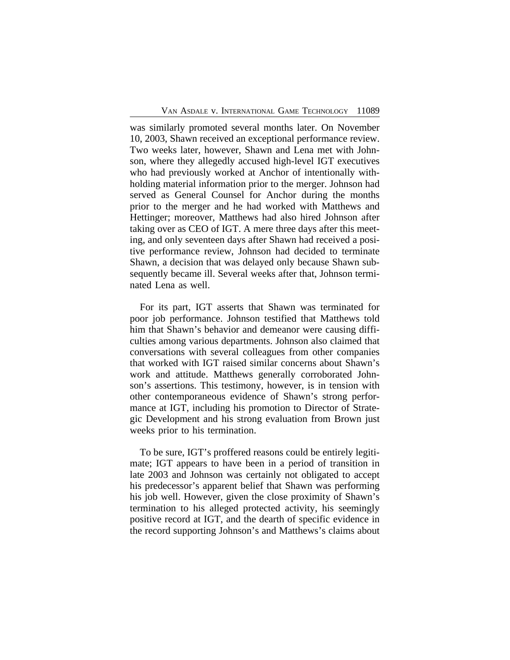was similarly promoted several months later. On November 10, 2003, Shawn received an exceptional performance review. Two weeks later, however, Shawn and Lena met with Johnson, where they allegedly accused high-level IGT executives who had previously worked at Anchor of intentionally withholding material information prior to the merger. Johnson had served as General Counsel for Anchor during the months prior to the merger and he had worked with Matthews and Hettinger; moreover, Matthews had also hired Johnson after taking over as CEO of IGT. A mere three days after this meeting, and only seventeen days after Shawn had received a positive performance review, Johnson had decided to terminate Shawn, a decision that was delayed only because Shawn subsequently became ill. Several weeks after that, Johnson terminated Lena as well.

For its part, IGT asserts that Shawn was terminated for poor job performance. Johnson testified that Matthews told him that Shawn's behavior and demeanor were causing difficulties among various departments. Johnson also claimed that conversations with several colleagues from other companies that worked with IGT raised similar concerns about Shawn's work and attitude. Matthews generally corroborated Johnson's assertions. This testimony, however, is in tension with other contemporaneous evidence of Shawn's strong performance at IGT, including his promotion to Director of Strategic Development and his strong evaluation from Brown just weeks prior to his termination.

To be sure, IGT's proffered reasons could be entirely legitimate; IGT appears to have been in a period of transition in late 2003 and Johnson was certainly not obligated to accept his predecessor's apparent belief that Shawn was performing his job well. However, given the close proximity of Shawn's termination to his alleged protected activity, his seemingly positive record at IGT, and the dearth of specific evidence in the record supporting Johnson's and Matthews's claims about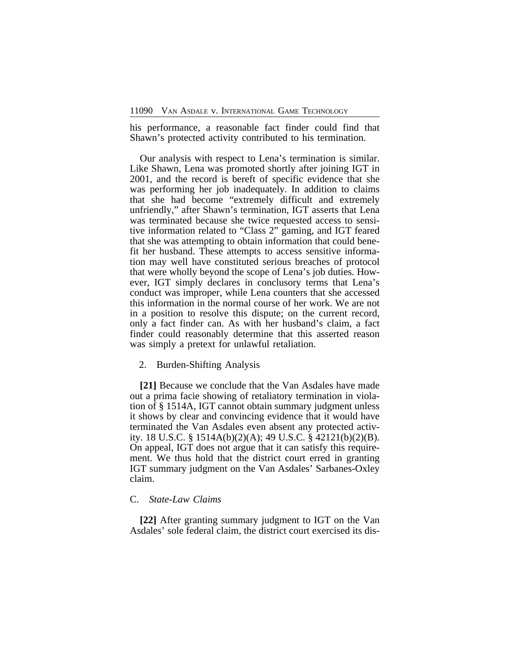his performance, a reasonable fact finder could find that Shawn's protected activity contributed to his termination.

Our analysis with respect to Lena's termination is similar. Like Shawn, Lena was promoted shortly after joining IGT in 2001, and the record is bereft of specific evidence that she was performing her job inadequately. In addition to claims that she had become "extremely difficult and extremely unfriendly," after Shawn's termination, IGT asserts that Lena was terminated because she twice requested access to sensitive information related to "Class 2" gaming, and IGT feared that she was attempting to obtain information that could benefit her husband. These attempts to access sensitive information may well have constituted serious breaches of protocol that were wholly beyond the scope of Lena's job duties. However, IGT simply declares in conclusory terms that Lena's conduct was improper, while Lena counters that she accessed this information in the normal course of her work. We are not in a position to resolve this dispute; on the current record, only a fact finder can. As with her husband's claim, a fact finder could reasonably determine that this asserted reason was simply a pretext for unlawful retaliation.

#### 2. Burden-Shifting Analysis

**[21]** Because we conclude that the Van Asdales have made out a prima facie showing of retaliatory termination in violation of § 1514A, IGT cannot obtain summary judgment unless it shows by clear and convincing evidence that it would have terminated the Van Asdales even absent any protected activity. 18 U.S.C. § 1514A(b)(2)(A); 49 U.S.C. § 42121(b)(2)(B). On appeal, IGT does not argue that it can satisfy this requirement. We thus hold that the district court erred in granting IGT summary judgment on the Van Asdales' Sarbanes-Oxley claim.

## C. *State-Law Claims*

**[22]** After granting summary judgment to IGT on the Van Asdales' sole federal claim, the district court exercised its dis-